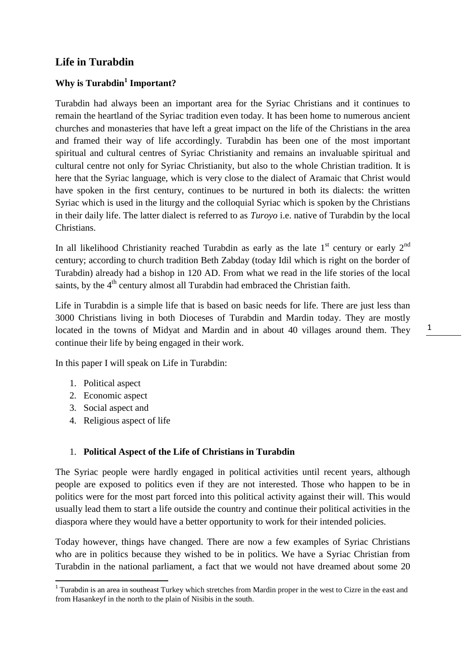# **Life in Turabdin**

# **Why is Turabdin<sup>1</sup> Important?**

Turabdin had always been an important area for the Syriac Christians and it continues to remain the heartland of the Syriac tradition even today. It has been home to numerous ancient churches and monasteries that have left a great impact on the life of the Christians in the area and framed their way of life accordingly. Turabdin has been one of the most important spiritual and cultural centres of Syriac Christianity and remains an invaluable spiritual and cultural centre not only for Syriac Christianity, but also to the whole Christian tradition. It is here that the Syriac language, which is very close to the dialect of Aramaic that Christ would have spoken in the first century, continues to be nurtured in both its dialects: the written Syriac which is used in the liturgy and the colloquial Syriac which is spoken by the Christians in their daily life. The latter dialect is referred to as *Turoyo* i.e. native of Turabdin by the local Christians.

In all likelihood Christianity reached Turabdin as early as the late  $1<sup>st</sup>$  century or early  $2<sup>nd</sup>$ century; according to church tradition Beth Zabday (today Idil which is right on the border of Turabdin) already had a bishop in 120 AD. From what we read in the life stories of the local saints, by the 4<sup>th</sup> century almost all Turabdin had embraced the Christian faith.

Life in Turabdin is a simple life that is based on basic needs for life. There are just less than 3000 Christians living in both Dioceses of Turabdin and Mardin today. They are mostly located in the towns of Midyat and Mardin and in about 40 villages around them. They continue their life by being engaged in their work.

In this paper I will speak on Life in Turabdin:

- 1. Political aspect
- 2. Economic aspect
- 3. Social aspect and

1

4. Religious aspect of life

#### 1. **Political Aspect of the Life of Christians in Turabdin**

The Syriac people were hardly engaged in political activities until recent years, although people are exposed to politics even if they are not interested. Those who happen to be in politics were for the most part forced into this political activity against their will. This would usually lead them to start a life outside the country and continue their political activities in the diaspora where they would have a better opportunity to work for their intended policies.

Today however, things have changed. There are now a few examples of Syriac Christians who are in politics because they wished to be in politics. We have a Syriac Christian from Turabdin in the national parliament, a fact that we would not have dreamed about some 20 1

<sup>&</sup>lt;sup>1</sup> Turabdin is an area in southeast Turkey which stretches from Mardin proper in the west to Cizre in the east and from Hasankeyf in the north to the plain of Nisibis in the south.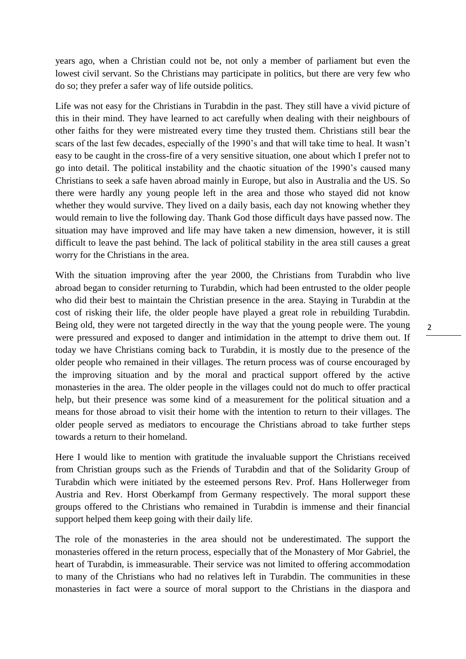years ago, when a Christian could not be, not only a member of parliament but even the lowest civil servant. So the Christians may participate in politics, but there are very few who do so; they prefer a safer way of life outside politics.

Life was not easy for the Christians in Turabdin in the past. They still have a vivid picture of this in their mind. They have learned to act carefully when dealing with their neighbours of other faiths for they were mistreated every time they trusted them. Christians still bear the scars of the last few decades, especially of the 1990's and that will take time to heal. It wasn't easy to be caught in the cross-fire of a very sensitive situation, one about which I prefer not to go into detail. The political instability and the chaotic situation of the 1990's caused many Christians to seek a safe haven abroad mainly in Europe, but also in Australia and the US. So there were hardly any young people left in the area and those who stayed did not know whether they would survive. They lived on a daily basis, each day not knowing whether they would remain to live the following day. Thank God those difficult days have passed now. The situation may have improved and life may have taken a new dimension, however, it is still difficult to leave the past behind. The lack of political stability in the area still causes a great worry for the Christians in the area.

With the situation improving after the year 2000, the Christians from Turabdin who live abroad began to consider returning to Turabdin, which had been entrusted to the older people who did their best to maintain the Christian presence in the area. Staying in Turabdin at the cost of risking their life, the older people have played a great role in rebuilding Turabdin. Being old, they were not targeted directly in the way that the young people were. The young were pressured and exposed to danger and intimidation in the attempt to drive them out. If today we have Christians coming back to Turabdin, it is mostly due to the presence of the older people who remained in their villages. The return process was of course encouraged by the improving situation and by the moral and practical support offered by the active monasteries in the area. The older people in the villages could not do much to offer practical help, but their presence was some kind of a measurement for the political situation and a means for those abroad to visit their home with the intention to return to their villages. The older people served as mediators to encourage the Christians abroad to take further steps towards a return to their homeland.

Here I would like to mention with gratitude the invaluable support the Christians received from Christian groups such as the Friends of Turabdin and that of the Solidarity Group of Turabdin which were initiated by the esteemed persons Rev. Prof. Hans Hollerweger from Austria and Rev. Horst Oberkampf from Germany respectively. The moral support these groups offered to the Christians who remained in Turabdin is immense and their financial support helped them keep going with their daily life.

The role of the monasteries in the area should not be underestimated. The support the monasteries offered in the return process, especially that of the Monastery of Mor Gabriel, the heart of Turabdin, is immeasurable. Their service was not limited to offering accommodation to many of the Christians who had no relatives left in Turabdin. The communities in these monasteries in fact were a source of moral support to the Christians in the diaspora and 2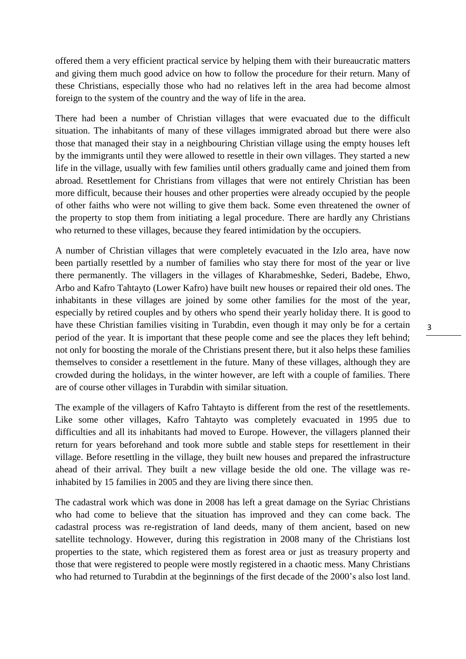offered them a very efficient practical service by helping them with their bureaucratic matters and giving them much good advice on how to follow the procedure for their return. Many of these Christians, especially those who had no relatives left in the area had become almost foreign to the system of the country and the way of life in the area.

There had been a number of Christian villages that were evacuated due to the difficult situation. The inhabitants of many of these villages immigrated abroad but there were also those that managed their stay in a neighbouring Christian village using the empty houses left by the immigrants until they were allowed to resettle in their own villages. They started a new life in the village, usually with few families until others gradually came and joined them from abroad. Resettlement for Christians from villages that were not entirely Christian has been more difficult, because their houses and other properties were already occupied by the people of other faiths who were not willing to give them back. Some even threatened the owner of the property to stop them from initiating a legal procedure. There are hardly any Christians who returned to these villages, because they feared intimidation by the occupiers.

A number of Christian villages that were completely evacuated in the Izlo area, have now been partially resettled by a number of families who stay there for most of the year or live there permanently. The villagers in the villages of Kharabmeshke, Sederi, Badebe, Ehwo, Arbo and Kafro Tahtayto (Lower Kafro) have built new houses or repaired their old ones. The inhabitants in these villages are joined by some other families for the most of the year, especially by retired couples and by others who spend their yearly holiday there. It is good to have these Christian families visiting in Turabdin, even though it may only be for a certain period of the year. It is important that these people come and see the places they left behind; not only for boosting the morale of the Christians present there, but it also helps these families themselves to consider a resettlement in the future. Many of these villages, although they are crowded during the holidays, in the winter however, are left with a couple of families. There are of course other villages in Turabdin with similar situation.

The example of the villagers of Kafro Tahtayto is different from the rest of the resettlements. Like some other villages, Kafro Tahtayto was completely evacuated in 1995 due to difficulties and all its inhabitants had moved to Europe. However, the villagers planned their return for years beforehand and took more subtle and stable steps for resettlement in their village. Before resettling in the village, they built new houses and prepared the infrastructure ahead of their arrival. They built a new village beside the old one. The village was reinhabited by 15 families in 2005 and they are living there since then.

The cadastral work which was done in 2008 has left a great damage on the Syriac Christians who had come to believe that the situation has improved and they can come back. The cadastral process was re-registration of land deeds, many of them ancient, based on new satellite technology. However, during this registration in 2008 many of the Christians lost properties to the state, which registered them as forest area or just as treasury property and those that were registered to people were mostly registered in a chaotic mess. Many Christians who had returned to Turabdin at the beginnings of the first decade of the 2000's also lost land.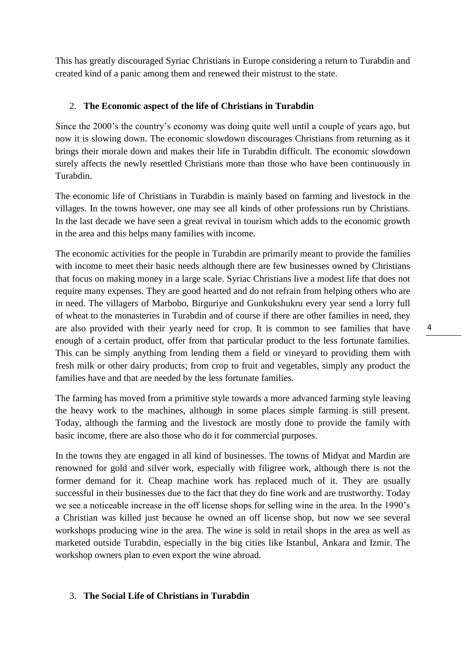This has greatly discouraged Syriac Christians in Europe considering a return to Turabdin and created kind of a panic among them and renewed their mistrust to the state.

# 2. **The Economic aspect of the life of Christians in Turabdin**

Since the 2000's the country's economy was doing quite well until a couple of years ago, but now it is slowing down. The economic slowdown discourages Christians from returning as it brings their morale down and makes their life in Turabdin difficult. The economic slowdown surely affects the newly resettled Christians more than those who have been continuously in Turabdin.

The economic life of Christians in Turabdin is mainly based on farming and livestock in the villages. In the towns however, one may see all kinds of other professions run by Christians. In the last decade we have seen a great revival in tourism which adds to the economic growth in the area and this helps many families with income.

The economic activities for the people in Turabdin are primarily meant to provide the families with income to meet their basic needs although there are few businesses owned by Christians that focus on making money in a large scale. Syriac Christians live a modest life that does not require many expenses. They are good hearted and do not refrain from helping others who are in need. The villagers of Marbobo, Birguriye and Gunkukshukru every year send a lorry full of wheat to the monasteries in Turabdin and of course if there are other families in need, they are also provided with their yearly need for crop. It is common to see families that have enough of a certain product, offer from that particular product to the less fortunate families. This can be simply anything from lending them a field or vineyard to providing them with fresh milk or other dairy products; from crop to fruit and vegetables, simply any product the families have and that are needed by the less fortunate families.

The farming has moved from a primitive style towards a more advanced farming style leaving the heavy work to the machines, although in some places simple farming is still present. Today, although the farming and the livestock are mostly done to provide the family with basic income, there are also those who do it for commercial purposes.

In the towns they are engaged in all kind of businesses. The towns of Midyat and Mardin are renowned for gold and silver work, especially with filigree work, although there is not the former demand for it. Cheap machine work has replaced much of it. They are usually successful in their businesses due to the fact that they do fine work and are trustworthy. Today we see a noticeable increase in the off license shops for selling wine in the area. In the 1990's a Christian was killed just because he owned an off license shop, but now we see several workshops producing wine in the area. The wine is sold in retail shops in the area as well as marketed outside Turabdin, especially in the big cities like Istanbul, Ankara and Izmir. The workshop owners plan to even export the wine abroad.

### 3. **The Social Life of Christians in Turabdin**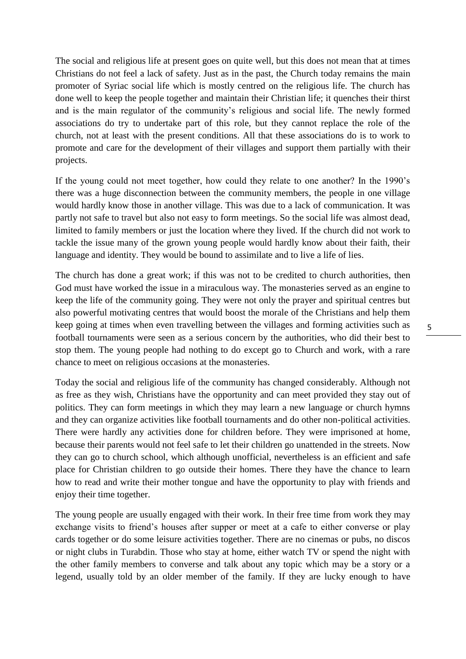The social and religious life at present goes on quite well, but this does not mean that at times Christians do not feel a lack of safety. Just as in the past, the Church today remains the main promoter of Syriac social life which is mostly centred on the religious life. The church has done well to keep the people together and maintain their Christian life; it quenches their thirst and is the main regulator of the community's religious and social life. The newly formed associations do try to undertake part of this role, but they cannot replace the role of the church, not at least with the present conditions. All that these associations do is to work to promote and care for the development of their villages and support them partially with their projects.

If the young could not meet together, how could they relate to one another? In the 1990's there was a huge disconnection between the community members, the people in one village would hardly know those in another village. This was due to a lack of communication. It was partly not safe to travel but also not easy to form meetings. So the social life was almost dead, limited to family members or just the location where they lived. If the church did not work to tackle the issue many of the grown young people would hardly know about their faith, their language and identity. They would be bound to assimilate and to live a life of lies.

The church has done a great work; if this was not to be credited to church authorities, then God must have worked the issue in a miraculous way. The monasteries served as an engine to keep the life of the community going. They were not only the prayer and spiritual centres but also powerful motivating centres that would boost the morale of the Christians and help them keep going at times when even travelling between the villages and forming activities such as football tournaments were seen as a serious concern by the authorities, who did their best to stop them. The young people had nothing to do except go to Church and work, with a rare chance to meet on religious occasions at the monasteries.

Today the social and religious life of the community has changed considerably. Although not as free as they wish, Christians have the opportunity and can meet provided they stay out of politics. They can form meetings in which they may learn a new language or church hymns and they can organize activities like football tournaments and do other non-political activities. There were hardly any activities done for children before. They were imprisoned at home, because their parents would not feel safe to let their children go unattended in the streets. Now they can go to church school, which although unofficial, nevertheless is an efficient and safe place for Christian children to go outside their homes. There they have the chance to learn how to read and write their mother tongue and have the opportunity to play with friends and enjoy their time together.

The young people are usually engaged with their work. In their free time from work they may exchange visits to friend's houses after supper or meet at a cafe to either converse or play cards together or do some leisure activities together. There are no cinemas or pubs, no discos or night clubs in Turabdin. Those who stay at home, either watch TV or spend the night with the other family members to converse and talk about any topic which may be a story or a legend, usually told by an older member of the family. If they are lucky enough to have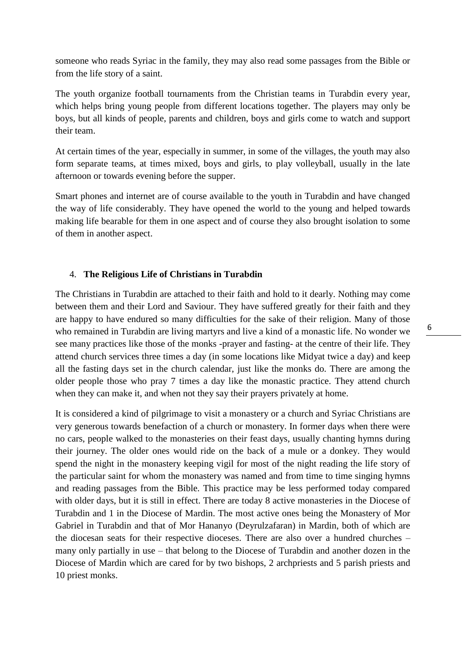someone who reads Syriac in the family, they may also read some passages from the Bible or from the life story of a saint.

The youth organize football tournaments from the Christian teams in Turabdin every year, which helps bring young people from different locations together. The players may only be boys, but all kinds of people, parents and children, boys and girls come to watch and support their team.

At certain times of the year, especially in summer, in some of the villages, the youth may also form separate teams, at times mixed, boys and girls, to play volleyball, usually in the late afternoon or towards evening before the supper.

Smart phones and internet are of course available to the youth in Turabdin and have changed the way of life considerably. They have opened the world to the young and helped towards making life bearable for them in one aspect and of course they also brought isolation to some of them in another aspect.

## 4. **The Religious Life of Christians in Turabdin**

The Christians in Turabdin are attached to their faith and hold to it dearly. Nothing may come between them and their Lord and Saviour. They have suffered greatly for their faith and they are happy to have endured so many difficulties for the sake of their religion. Many of those who remained in Turabdin are living martyrs and live a kind of a monastic life. No wonder we see many practices like those of the monks -prayer and fasting- at the centre of their life. They attend church services three times a day (in some locations like Midyat twice a day) and keep all the fasting days set in the church calendar, just like the monks do. There are among the older people those who pray 7 times a day like the monastic practice. They attend church when they can make it, and when not they say their prayers privately at home.

It is considered a kind of pilgrimage to visit a monastery or a church and Syriac Christians are very generous towards benefaction of a church or monastery. In former days when there were no cars, people walked to the monasteries on their feast days, usually chanting hymns during their journey. The older ones would ride on the back of a mule or a donkey. They would spend the night in the monastery keeping vigil for most of the night reading the life story of the particular saint for whom the monastery was named and from time to time singing hymns and reading passages from the Bible. This practice may be less performed today compared with older days, but it is still in effect. There are today 8 active monasteries in the Diocese of Turabdin and 1 in the Diocese of Mardin. The most active ones being the Monastery of Mor Gabriel in Turabdin and that of Mor Hananyo (Deyrulzafaran) in Mardin, both of which are the diocesan seats for their respective dioceses. There are also over a hundred churches – many only partially in use – that belong to the Diocese of Turabdin and another dozen in the Diocese of Mardin which are cared for by two bishops, 2 archpriests and 5 parish priests and 10 priest monks.